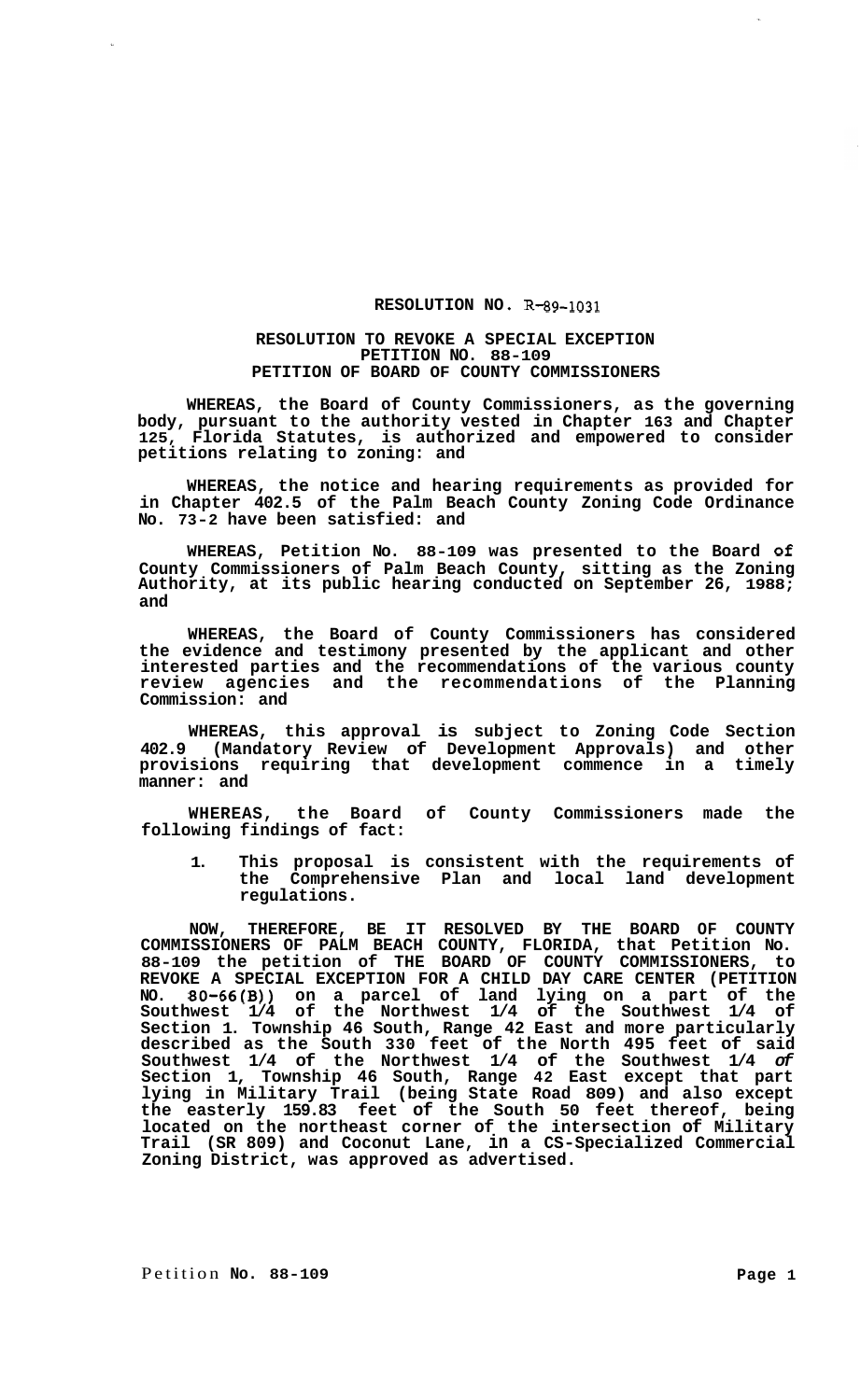## RESOLUTION NO. R-89-1031

## **RESOLUTION TO REVOKE A SPECIAL EXCEPTION PETITION NO. 88-109 PETITION OF BOARD OF COUNTY COMMISSIONERS**

**WHEREAS, the Board of County Commissioners, as the governing body, pursuant to the authority vested in Chapter 163 and Chapter 125, Florida Statutes, is authorized and empowered to consider petitions relating to zoning: and** 

**WHEREAS, the notice and hearing requirements as provided for in Chapter 402.5 of the Palm Beach County Zoning Code Ordinance No. 73-2 have been satisfied: and** 

**WHEREAS, Petition No. 88-109 was presented to the Board of County Commissioners of Palm Beach County, sitting as the Zoning Authority, at its public hearing conducted on September 26, 1988; and** 

**WHEREAS, the Board of County Commissioners has considered the evidence and testimony presented by the applicant and other interested parties and the recommendations of the various county review agencies and the recommendations of the Planning Commission: and** 

**WHEREAS, this approval is subject to Zoning Code Section 402.9 (Mandatory Review of Development Approvals) and other provisions requiring that development commence in a timely manner: and** 

**WHEREAS, the Board of County Commissioners made the following findings of fact:** 

**1. This proposal is consistent with the requirements of the Comprehensive Plan and local land development regulations.** 

**NOW, THEREFORE, BE IT RESOLVED BY THE BOARD OF COUNTY COMMISSIONERS OF PALM BEACH COUNTY, FLORIDA, that Petition No. 88-109 the petition of THE BOARD OF COUNTY COMMISSIONERS, to REVOKE A SPECIAL EXCEPTION FOR A CHILD DAY CARE CENTER (PETITION NO. 80-66(B)) on a parcel of land lying on a part of the Southwest 1/4 of the Northwest 1/4 of the Southwest 1/4 of Section 1. Township 46 South, Range 42 East and more particularly described as the South 330 feet of the North 495 feet of said Southwest 1/4 of the Northwest 1/4 of the Southwest 1/4** *of*  **Section 1, Township 46 South, Range 42 East except that part lying in Military Trail (being State Road 809) and also except the easterly 159.83 feet of the South 50 feet thereof, being located on the northeast corner of the intersection of Military Trail (SR 809) and Coconut Lane, in a CS-Specialized Commercial Zoning District, was approved as advertised.**